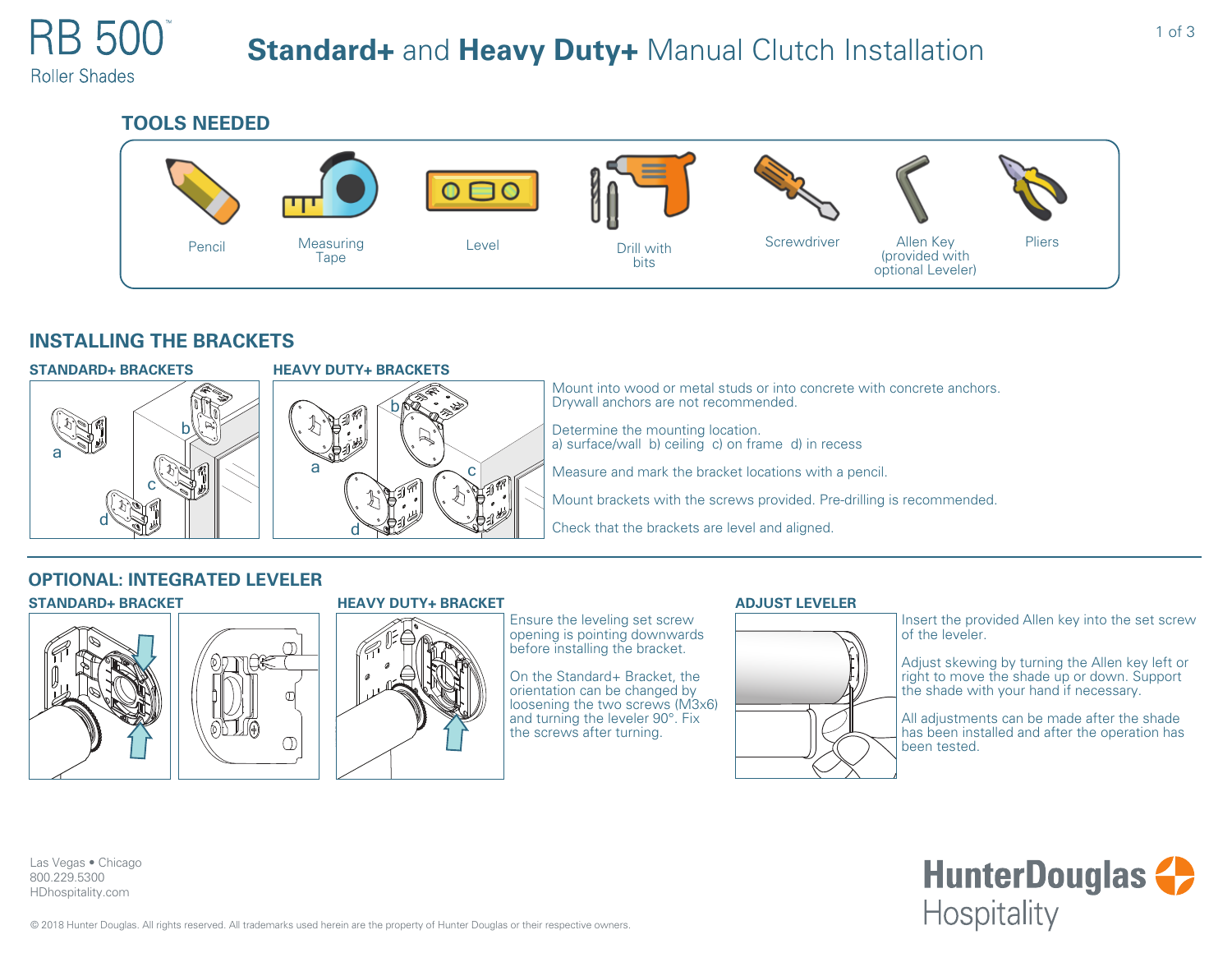# **Standard+** and **Heavy Duty+** Manual Clutch Installation

**Roller Shades** 



# **INSTALLING THE BRACKETS**



# **HEAVY DUTY+ BRACKETS** b

d

 $a \sim a$ 

Mount into wood or metal studs or into concrete with concrete anchors. Drywall anchors are not recommended.

Determine the mounting location. a) surface/wall b) ceiling c) on frame d) in recess

Measure and mark the bracket locations with a pencil.

Mount brackets with the screws provided. Pre-drilling is recommended.

Check that the brackets are level and aligned.

### **STANDARD+ BRACKET HEAVY DUTY+ BRACKET OPTIONAL: INTEGRATED LEVELER**



Las Vegas • Chicago 800.229.5300 HDhospitality.com





# Ensure the leveling set screw

opening is pointing downwards before installing the bracket.

On the Standard+ Bracket, the orientation can be changed by loosening the two screws (M3x6) and turning the leveler 90°. Fix the screws after turning.

### **ADJUST LEVELER**



Insert the provided Allen key into the set screw of the leveler.

Adjust skewing by turning the Allen key left or right to move the shade up or down. Support the shade with your hand if necessary.

All adjustments can be made after the shade has been installed and after the operation has been tested.

**HunterDouglas +> Hospitality**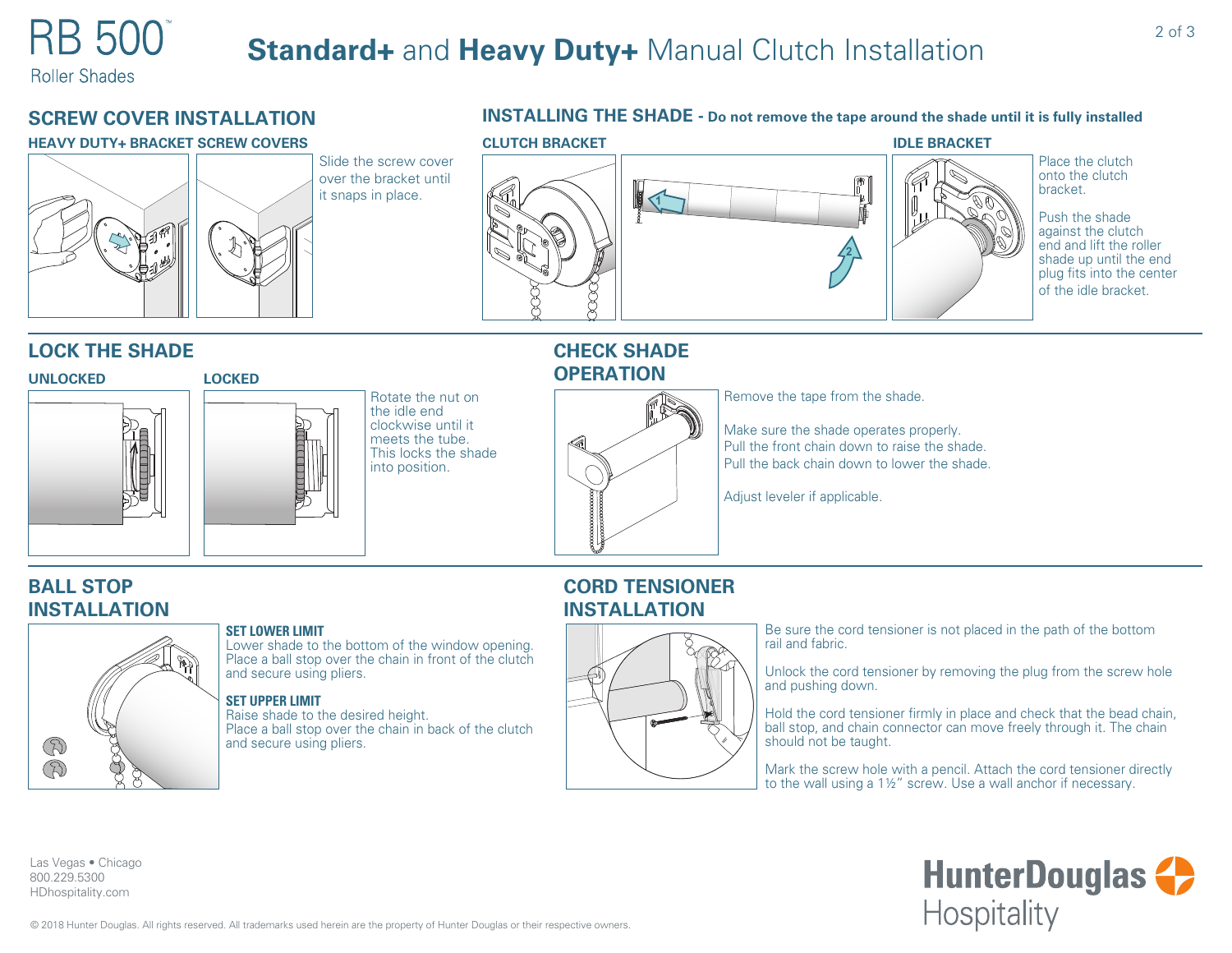**Roller Shades** 

# **SCREW COVER INSTALLATION**

#### **HEAVY DUTY+ BRACKET SCREW COVERS**





### **INSTALLING THE SHADE - Do not remove the tape around the shade until it is fully installed**



# **LOCK THE SHADE**

#### **UNLOCKED**



### **LOCKED**

Rotate the nut on the idle end clockwise until it meets the tube. This locks the shade into position.

## **CHECK SHADE OPERATION**



Remove the tape from the shade.

Make sure the shade operates properly. Pull the front chain down to raise the shade. Pull the back chain down to lower the shade.

Adjust leveler if applicable.

# **BALL STOP INSTALLATION**



#### **SET LOWER LIMIT**

Lower shade to the bottom of the window opening. Place a ball stop over the chain in front of the clutch and secure using pliers.

#### **SET UPPER LIMIT**

Raise shade to the desired height. Place a ball stop over the chain in back of the clutch and secure using pliers.

## **CORD TENSIONER INSTALLATION**



Be sure the cord tensioner is not placed in the path of the bottom rail and fabric.

Unlock the cord tensioner by removing the plug from the screw hole and pushing down.

Hold the cord tensioner firmly in place and check that the bead chain, ball stop, and chain connector can move freely through it. The chain should not be taught.

Mark the screw hole with a pencil. Attach the cord tensioner directly to the wall using a 1½" screw. Use a wall anchor if necessary.

> **HunterDouglas +> Hospitality**

Las Vegas • Chicago 800.229.5300 HDhospitality.com